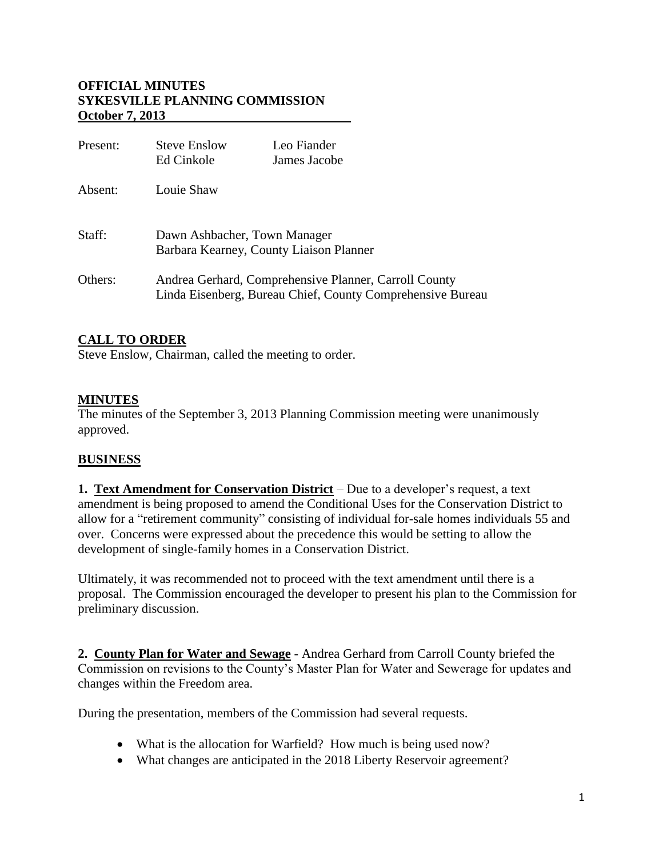# **OFFICIAL MINUTES SYKESVILLE PLANNING COMMISSION October 7, 2013**

| Present: | <b>Steve Enslow</b><br>Ed Cinkole                                                                                   | Leo Fiander<br>James Jacobe |
|----------|---------------------------------------------------------------------------------------------------------------------|-----------------------------|
| Absent:  | Louie Shaw                                                                                                          |                             |
| Staff:   | Dawn Ashbacher, Town Manager<br>Barbara Kearney, County Liaison Planner                                             |                             |
| Others:  | Andrea Gerhard, Comprehensive Planner, Carroll County<br>Linda Eisenberg, Bureau Chief, County Comprehensive Bureau |                             |

# **CALL TO ORDER**

Steve Enslow, Chairman, called the meeting to order.

### **MINUTES**

The minutes of the September 3, 2013 Planning Commission meeting were unanimously approved.

# **BUSINESS**

**1. Text Amendment for Conservation District** – Due to a developer's request, a text amendment is being proposed to amend the Conditional Uses for the Conservation District to allow for a "retirement community" consisting of individual for-sale homes individuals 55 and over. Concerns were expressed about the precedence this would be setting to allow the development of single-family homes in a Conservation District.

Ultimately, it was recommended not to proceed with the text amendment until there is a proposal. The Commission encouraged the developer to present his plan to the Commission for preliminary discussion.

**2. County Plan for Water and Sewage** - Andrea Gerhard from Carroll County briefed the Commission on revisions to the County's Master Plan for Water and Sewerage for updates and changes within the Freedom area.

During the presentation, members of the Commission had several requests.

- What is the allocation for Warfield? How much is being used now?
- What changes are anticipated in the 2018 Liberty Reservoir agreement?